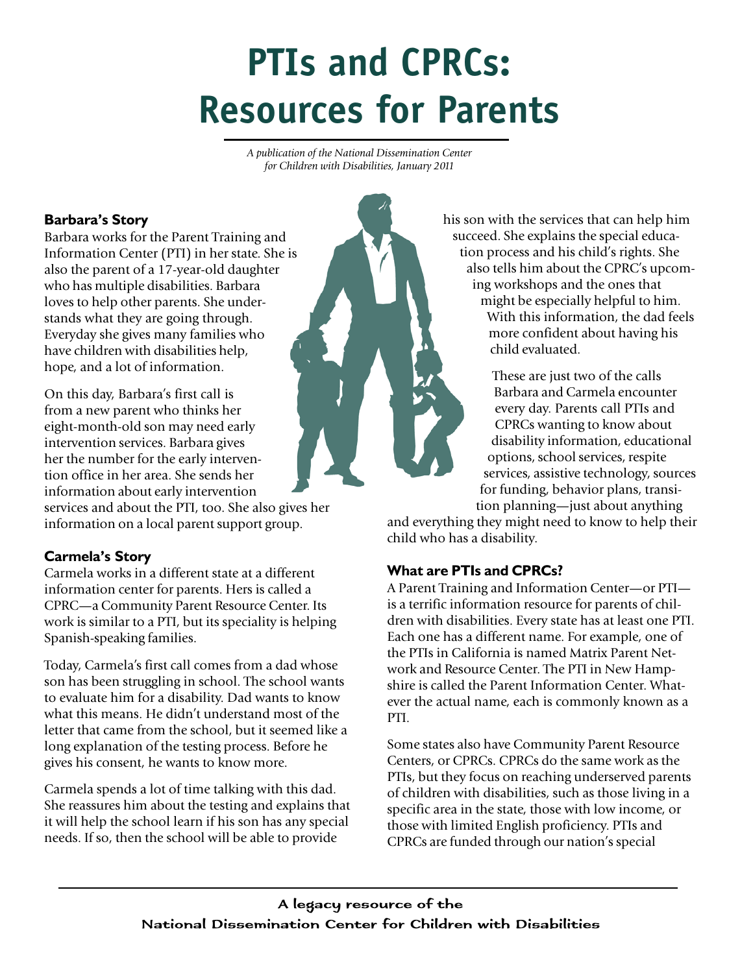# **PTIs and CPRCs: Resources for Parents**

*A publication of the National Dissemination Center for Children with Disabilities, January 2011*

## **Barbara's Story**

Barbara works for the Parent Training and Information Center (PTI) in her state. She is also the parent of a 17-year-old daughter who has multiple disabilities. Barbara loves to help other parents. She understands what they are going through. Everyday she gives many families who have children with disabilities help, hope, and a lot of information.

On this day, Barbara's first call is from a new parent who thinks her eight-month-old son may need early intervention services. Barbara gives her the number for the early intervention office in her area. She sends her information about early intervention

services and about the PTI, too. She also gives her information on a local parent support group.

## **Carmela's Story**

Carmela works in a different state at a different information center for parents. Hers is called a CPRC—a Community Parent Resource Center. Its work is similar to a PTI, but its speciality is helping Spanish-speaking families.

Today, Carmela's first call comes from a dad whose son has been struggling in school. The school wants to evaluate him for a disability. Dad wants to know what this means. He didn't understand most of the letter that came from the school, but it seemed like a long explanation of the testing process. Before he gives his consent, he wants to know more.

Carmela spends a lot of time talking with this dad. She reassures him about the testing and explains that it will help the school learn if his son has any special needs. If so, then the school will be able to provide

his son with the services that can help him succeed. She explains the special education process and his child's rights. She also tells him about the CPRC's upcoming workshops and the ones that might be especially helpful to him. With this information, the dad feels more confident about having his child evaluated.

> These are just two of the calls Barbara and Carmela encounter every day. Parents call PTIs and CPRCs wanting to know about disability information, educational options, school services, respite services, assistive technology, sources for funding, behavior plans, transition planning—just about anything

and everything they might need to know to help their child who has a disability.

## **What are PTIs and CPRCs?**

A Parent Training and Information Center—or PTI is a terrific information resource for parents of children with disabilities. Every state has at least one PTI. Each one has a different name. For example, one of the PTIs in California is named Matrix Parent Network and Resource Center. The PTI in New Hampshire is called the Parent Information Center. Whatever the actual name, each is commonly known as a PTI.

Some states also have Community Parent Resource Centers, or CPRCs. CPRCs do the same work as the PTIs, but they focus on reaching underserved parents of children with disabilities, such as those living in a specific area in the state, those with low income, or those with limited English proficiency. PTIs and CPRCs are funded through our nation's special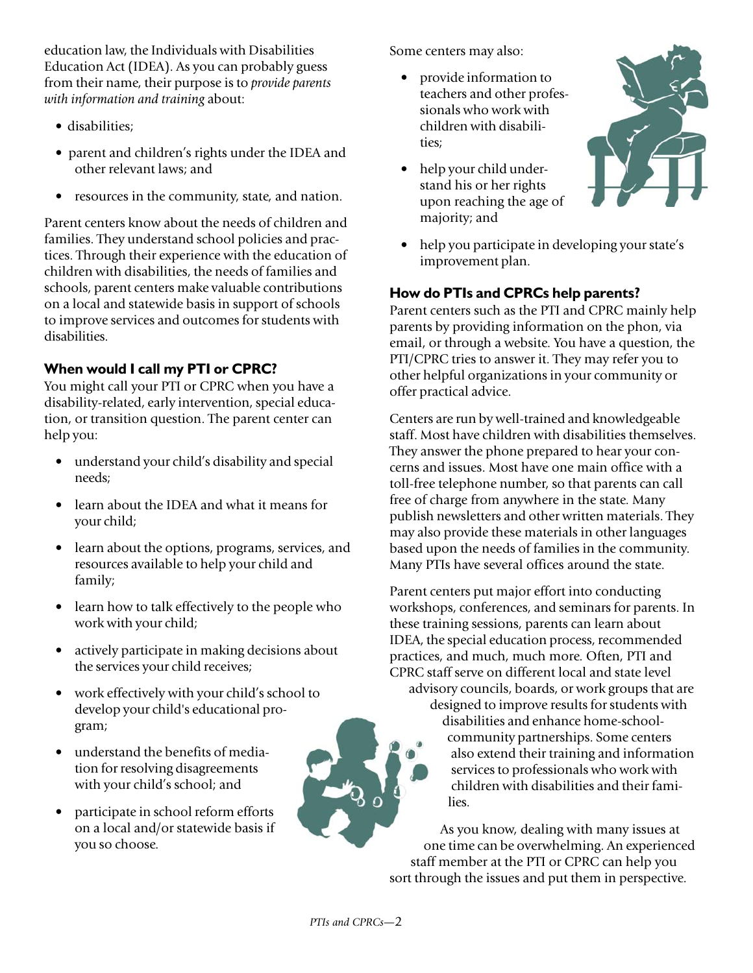education law, the Individuals with Disabilities Education Act (IDEA). As you can probably guess from their name, their purpose is to *provide parents with information and training* about:

- disabilities;
- parent and children's rights under the IDEA and other relevant laws; and
- resources in the community, state, and nation.

Parent centers know about the needs of children and families. They understand school policies and practices. Through their experience with the education of children with disabilities, the needs of families and schools, parent centers make valuable contributions on a local and statewide basis in support of schools to improve services and outcomes for students with disabilities.

## **When would I call my PTI or CPRC?**

You might call your PTI or CPRC when you have a disability-related, early intervention, special education, or transition question. The parent center can help you:

- understand your child's disability and special needs;
- learn about the IDEA and what it means for your child;
- learn about the options, programs, services, and resources available to help your child and family;
- learn how to talk effectively to the people who work with your child;
- actively participate in making decisions about the services your child receives;
- work effectively with your child's school to develop your child's educational program;
- understand the benefits of mediation for resolving disagreements with your child's school; and
- participate in school reform efforts on a local and/or statewide basis if you so choose.

Some centers may also:

- provide information to teachers and other professionals who work with children with disabilities;
- help your child understand his or her rights upon reaching the age of majority; and



• help you participate in developing your state's improvement plan.

## **How do PTIs and CPRCs help parents?**

Parent centers such as the PTI and CPRC mainly help parents by providing information on the phon, via email, or through a website. You have a question, the PTI/CPRC tries to answer it. They may refer you to other helpful organizations in your community or offer practical advice.

Centers are run by well-trained and knowledgeable staff. Most have children with disabilities themselves. They answer the phone prepared to hear your concerns and issues. Most have one main office with a toll-free telephone number, so that parents can call free of charge from anywhere in the state. Many publish newsletters and other written materials. They may also provide these materials in other languages based upon the needs of families in the community. Many PTIs have several offices around the state.

Parent centers put major effort into conducting workshops, conferences, and seminars for parents. In these training sessions, parents can learn about IDEA, the special education process, recommended practices, and much, much more. Often, PTI and CPRC staff serve on different local and state level advisory councils, boards, or work groups that are designed to improve results for students with disabilities and enhance home-schoolcommunity partnerships. Some centers also extend their training and information services to professionals who work with children with disabilities and their families.

As you know, dealing with many issues at one time can be overwhelming. An experienced staff member at the PTI or CPRC can help you sort through the issues and put them in perspective.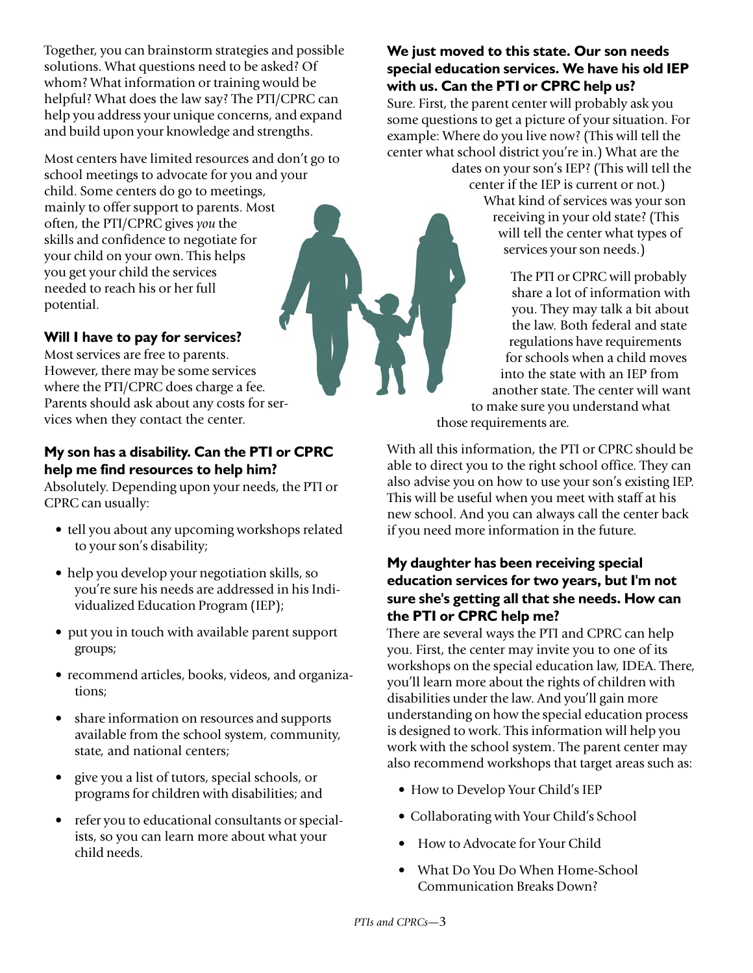Together, you can brainstorm strategies and possible solutions. What questions need to be asked? Of whom? What information or training would be helpful? What does the law say? The PTI/CPRC can help you address your unique concerns, and expand and build upon your knowledge and strengths.

Most centers have limited resources and don't go to school meetings to advocate for you and your child. Some centers do go to meetings, mainly to offer support to parents. Most often, the PTI/CPRC gives *you* the skills and confidence to negotiate for your child on your own. This helps you get your child the services needed to reach his or her full potential.

#### **Will I have to pay for services?**

Most services are free to parents. However, there may be some services where the PTI/CPRC does charge a fee. Parents should ask about any costs for services when they contact the center.

#### **My son has a disability. Can the PTI or CPRC help me find resources to help him?**

Absolutely. Depending upon your needs, the PTI or CPRC can usually:

- tell you about any upcoming workshops related to your son's disability;
- help you develop your negotiation skills, so you're sure his needs are addressed in his Individualized Education Program (IEP);
- put you in touch with available parent support groups;
- recommend articles, books, videos, and organizations;
- share information on resources and supports available from the school system, community, state, and national centers;
- give you a list of tutors, special schools, or programs for children with disabilities; and
- refer you to educational consultants or specialists, so you can learn more about what your child needs.

## **We just moved to this state. Our son needs special education services. We have his old IEP with us. Can the PTI or CPRC help us?**

Sure. First, the parent center will probably ask you some questions to get a picture of your situation. For example: Where do you live now? (This will tell the center what school district you're in.) What are the

dates on your son's IEP? (This will tell the center if the IEP is current or not.) What kind of services was your son receiving in your old state? (This will tell the center what types of services your son needs.)

The PTI or CPRC will probably share a lot of information with you. They may talk a bit about the law. Both federal and state regulations have requirements for schools when a child moves into the state with an IEP from another state. The center will want to make sure you understand what those requirements are.

With all this information, the PTI or CPRC should be able to direct you to the right school office. They can also advise you on how to use your son's existing IEP. This will be useful when you meet with staff at his new school. And you can always call the center back if you need more information in the future.

### **My daughter has been receiving special education services for two years, but I'm not sure she's getting all that she needs. How can the PTI or CPRC help me?**

There are several ways the PTI and CPRC can help you. First, the center may invite you to one of its workshops on the special education law, IDEA. There, you'll learn more about the rights of children with disabilities under the law. And you'll gain more understanding on how the special education process is designed to work. This information will help you work with the school system. The parent center may also recommend workshops that target areas such as:

- How to Develop Your Child's IEP
- Collaborating with Your Child's School
- How to Advocate for Your Child
- What Do You Do When Home-School Communication Breaks Down?